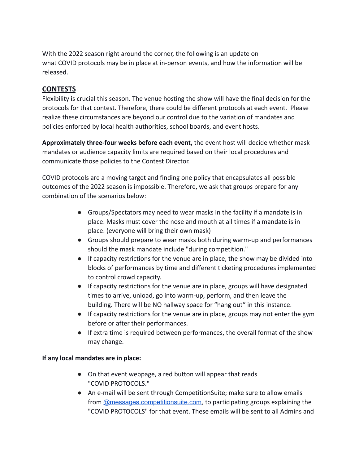With the 2022 season right around the corner, the following is an update on what COVID protocols may be in place at in-person events, and how the information will be released.

## **CONTESTS**

Flexibility is crucial this season. The venue hosting the show will have the final decision for the protocols for that contest. Therefore, there could be different protocols at each event. Please realize these circumstances are beyond our control due to the variation of mandates and policies enforced by local health authorities, school boards, and event hosts.

**Approximately three-four weeks before each event,** the event host will decide whether mask mandates or audience capacity limits are required based on their local procedures and communicate those policies to the Contest Director.

COVID protocols are a moving target and finding one policy that encapsulates all possible outcomes of the 2022 season is impossible. Therefore, we ask that groups prepare for any combination of the scenarios below:

- Groups/Spectators may need to wear masks in the facility if a mandate is in place. Masks must cover the nose and mouth at all times if a mandate is in place. (everyone will bring their own mask)
- Groups should prepare to wear masks both during warm-up and performances should the mask mandate include "during competition."
- If capacity restrictions for the venue are in place, the show may be divided into blocks of performances by time and different ticketing procedures implemented to control crowd capacity.
- If capacity restrictions for the venue are in place, groups will have designated times to arrive, unload, go into warm-up, perform, and then leave the building. There will be NO hallway space for "hang out" in this instance.
- If capacity restrictions for the venue are in place, groups may not enter the gym before or after their performances.
- If extra time is required between performances, the overall format of the show may change.

## **If any local mandates are in place:**

- On that event webpage, a red button will appear that reads "COVID PROTOCOLS."
- An e-mail will be sent through CompetitionSuite; make sure to allow emails from [@messages.competitionsuite.com,](mailto:31%2B600e3e72621d3865a37101fe@messages.competitionsuite.com) to participating groups explaining the "COVID PROTOCOLS" for that event. These emails will be sent to all Admins and